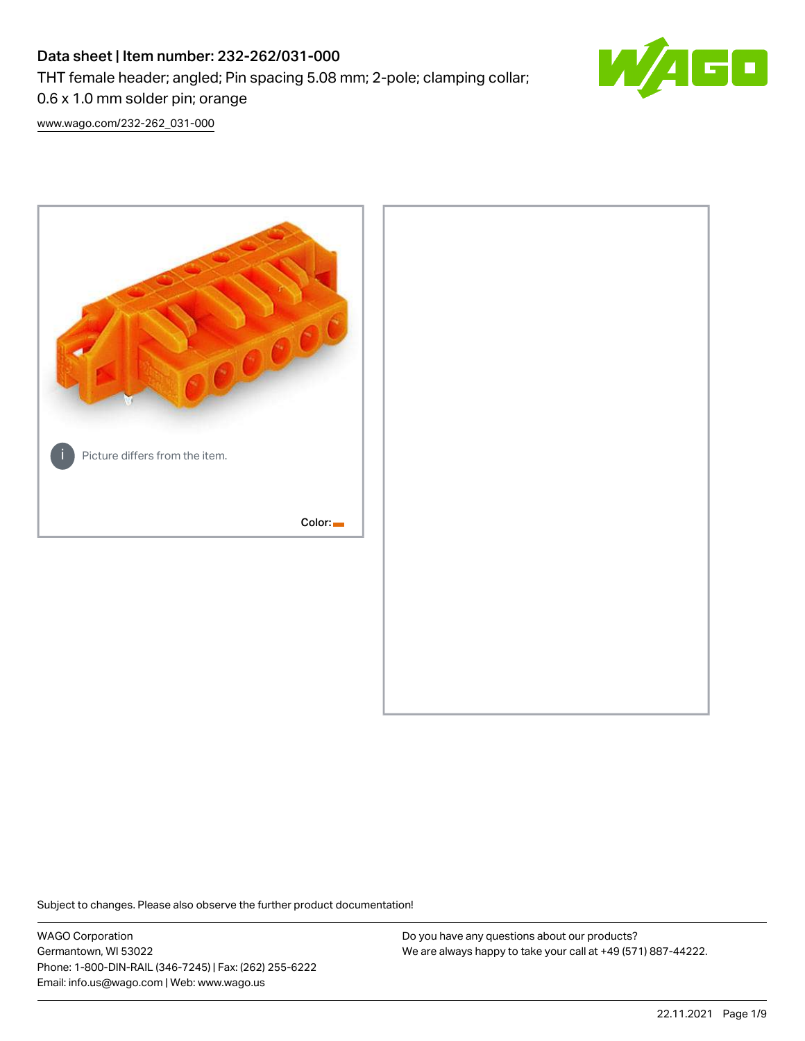# Data sheet | Item number: 232-262/031-000

THT female header; angled; Pin spacing 5.08 mm; 2-pole; clamping collar;



[www.wago.com/232-262\\_031-000](http://www.wago.com/232-262_031-000)

0.6 x 1.0 mm solder pin; orange



Subject to changes. Please also observe the further product documentation!

WAGO Corporation Germantown, WI 53022 Phone: 1-800-DIN-RAIL (346-7245) | Fax: (262) 255-6222 Email: info.us@wago.com | Web: www.wago.us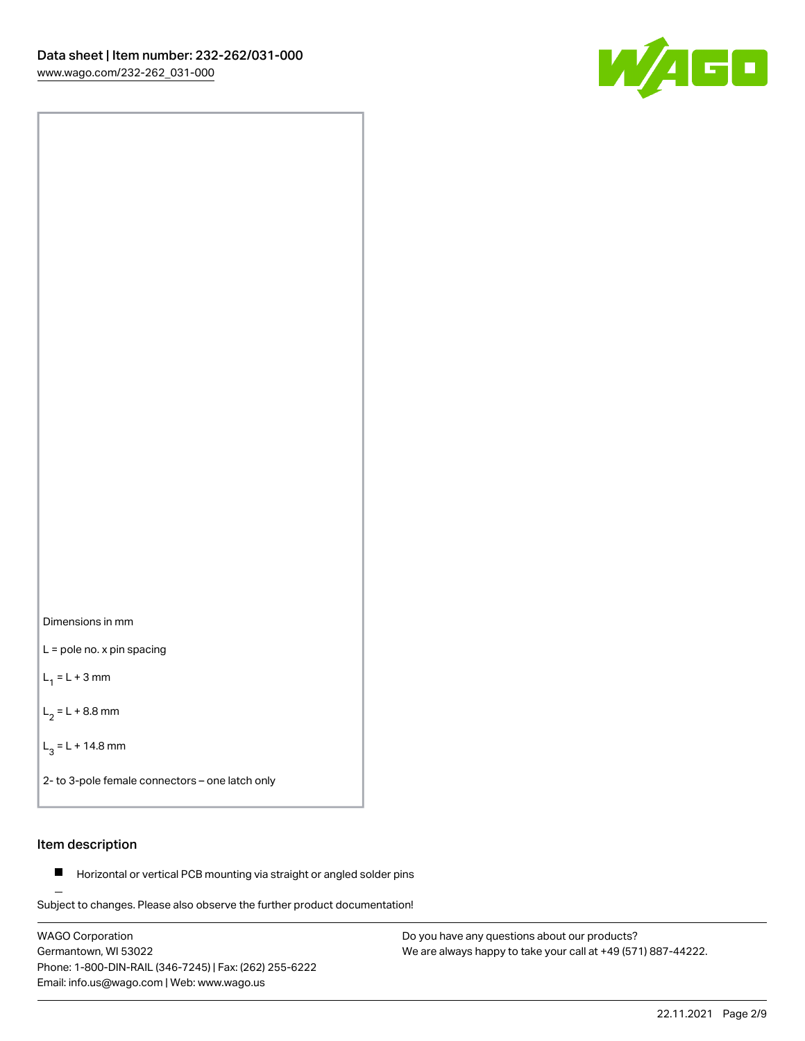

Dimensions in mm

L = pole no. x pin spacing

 $L_1 = L + 3$  mm

 $L_2 = L + 8.8$  mm

 $L_3 = L + 14.8$  mm

2- to 3-pole female connectors – one latch only

### Item description

**Horizontal or vertical PCB mounting via straight or angled solder pins** 

Subject to changes. Please also observe the further product documentation! For board-to-board and board-to-wire connections

WAGO Corporation Germantown, WI 53022 Phone: 1-800-DIN-RAIL (346-7245) | Fax: (262) 255-6222 Email: info.us@wago.com | Web: www.wago.us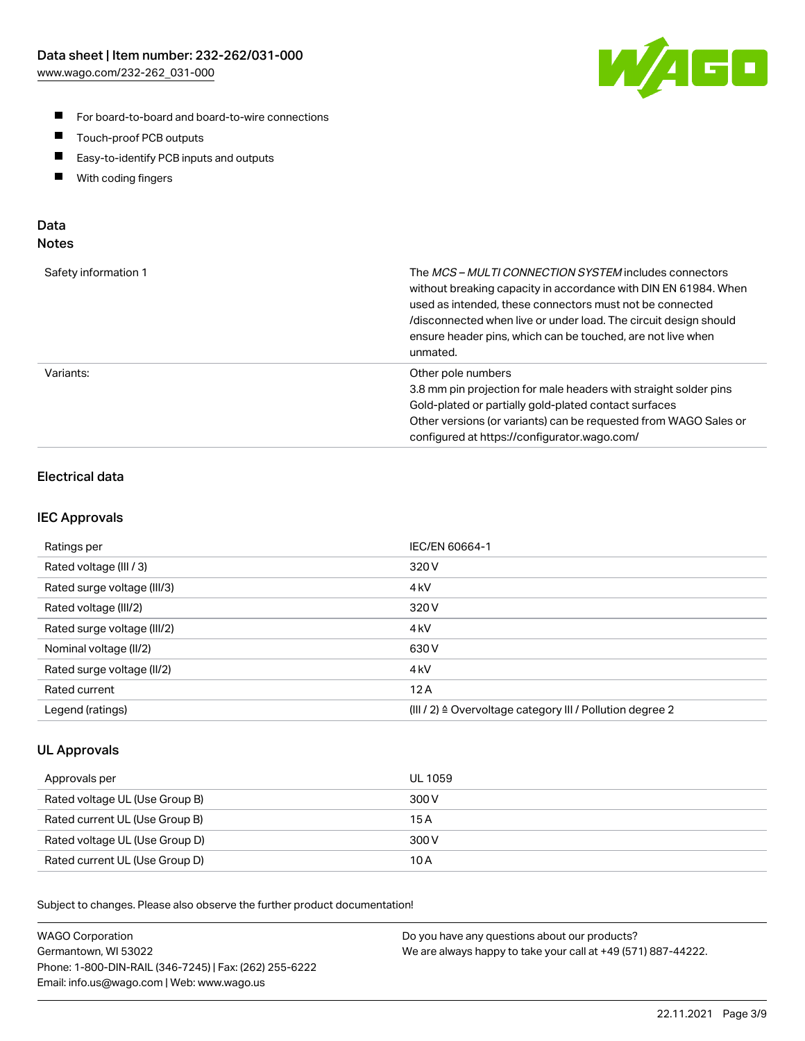

- For board-to-board and board-to-wire connections
- $\blacksquare$ Touch-proof PCB outputs
- $\blacksquare$ Easy-to-identify PCB inputs and outputs
- $\blacksquare$ With coding fingers

### Data **Notes**

| Safety information 1 | The <i>MCS – MULTI CONNECTION SYSTEM</i> includes connectors<br>without breaking capacity in accordance with DIN EN 61984. When<br>used as intended, these connectors must not be connected<br>/disconnected when live or under load. The circuit design should<br>ensure header pins, which can be touched, are not live when<br>unmated. |
|----------------------|--------------------------------------------------------------------------------------------------------------------------------------------------------------------------------------------------------------------------------------------------------------------------------------------------------------------------------------------|
| Variants:            | Other pole numbers<br>3.8 mm pin projection for male headers with straight solder pins<br>Gold-plated or partially gold-plated contact surfaces<br>Other versions (or variants) can be requested from WAGO Sales or<br>configured at https://configurator.wago.com/                                                                        |

## Electrical data

### IEC Approvals

| Ratings per                 | IEC/EN 60664-1                                                        |
|-----------------------------|-----------------------------------------------------------------------|
| Rated voltage (III / 3)     | 320 V                                                                 |
| Rated surge voltage (III/3) | 4 <sub>k</sub> V                                                      |
| Rated voltage (III/2)       | 320 V                                                                 |
| Rated surge voltage (III/2) | 4 <sub>k</sub> V                                                      |
| Nominal voltage (II/2)      | 630 V                                                                 |
| Rated surge voltage (II/2)  | 4 <sub>k</sub> V                                                      |
| Rated current               | 12A                                                                   |
| Legend (ratings)            | $(III / 2)$ $\triangle$ Overvoltage category III / Pollution degree 2 |

### UL Approvals

| Approvals per                  | UL 1059 |
|--------------------------------|---------|
| Rated voltage UL (Use Group B) | 300 V   |
| Rated current UL (Use Group B) | 15 A    |
| Rated voltage UL (Use Group D) | 300 V   |
| Rated current UL (Use Group D) | 10 A    |

Subject to changes. Please also observe the further product documentation!

| <b>WAGO Corporation</b>                                | Do you have any questions about our products?                 |
|--------------------------------------------------------|---------------------------------------------------------------|
| Germantown, WI 53022                                   | We are always happy to take your call at +49 (571) 887-44222. |
| Phone: 1-800-DIN-RAIL (346-7245)   Fax: (262) 255-6222 |                                                               |
| Email: info.us@wago.com   Web: www.wago.us             |                                                               |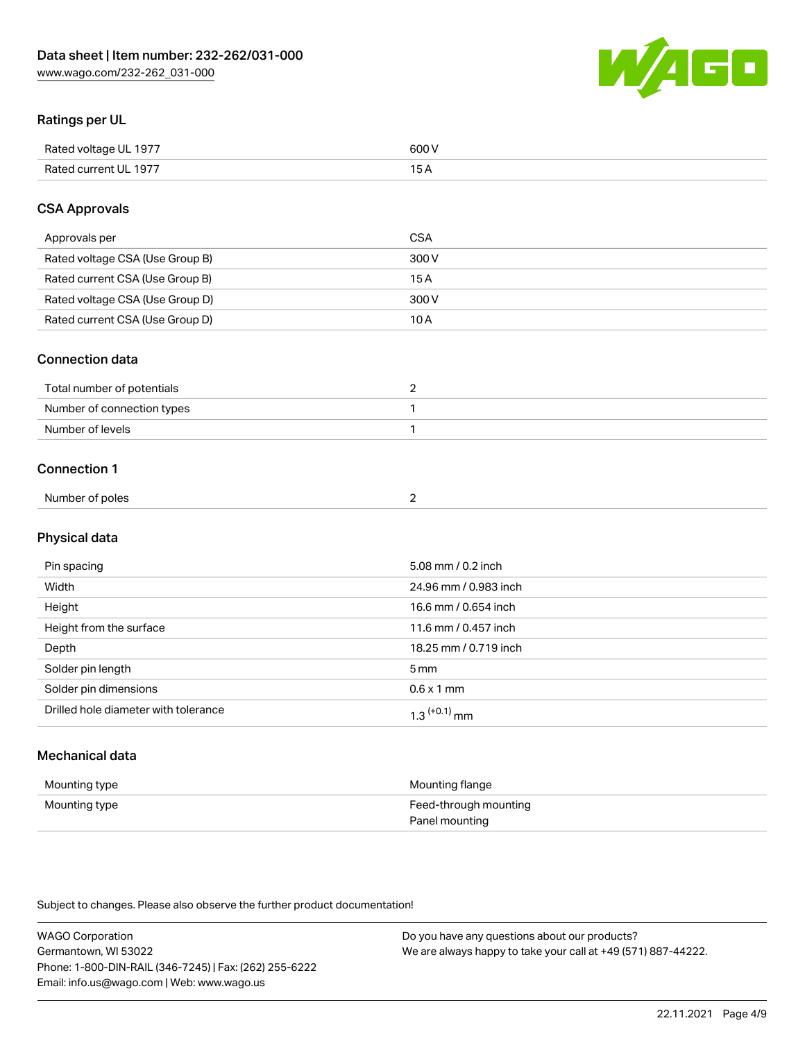

### Ratings per UL

| Rated voltage UL 1977 | 600 \<br>.   |
|-----------------------|--------------|
| Rated current UL 1977 | . . <i>.</i> |

### CSA Approvals

| Approvals per                   | CSA   |
|---------------------------------|-------|
| Rated voltage CSA (Use Group B) | 300 V |
| Rated current CSA (Use Group B) | 15 A  |
| Rated voltage CSA (Use Group D) | 300 V |
| Rated current CSA (Use Group D) | 10 A  |

### Connection data

| Total number of potentials |  |
|----------------------------|--|
| Number of connection types |  |
| Number of levels           |  |

### Connection 1

| Number of poles |  |
|-----------------|--|
|                 |  |

# Physical data

| Pin spacing                          | 5.08 mm / 0.2 inch    |
|--------------------------------------|-----------------------|
| Width                                | 24.96 mm / 0.983 inch |
| Height                               | 16.6 mm / 0.654 inch  |
| Height from the surface              | 11.6 mm / 0.457 inch  |
| Depth                                | 18.25 mm / 0.719 inch |
| Solder pin length                    | 5 <sub>mm</sub>       |
| Solder pin dimensions                | $0.6 \times 1$ mm     |
| Drilled hole diameter with tolerance | $1.3$ $(+0.1)$ mm     |

# Mechanical data

| Mounting type | Mounting flange                         |
|---------------|-----------------------------------------|
| Mounting type | Feed-through mounting<br>Panel mounting |

Subject to changes. Please also observe the further product documentation!

| <b>WAGO Corporation</b>                                | Do you have any questions about our products?                 |
|--------------------------------------------------------|---------------------------------------------------------------|
| Germantown, WI 53022                                   | We are always happy to take your call at +49 (571) 887-44222. |
| Phone: 1-800-DIN-RAIL (346-7245)   Fax: (262) 255-6222 |                                                               |
| Email: info.us@wago.com   Web: www.wago.us             |                                                               |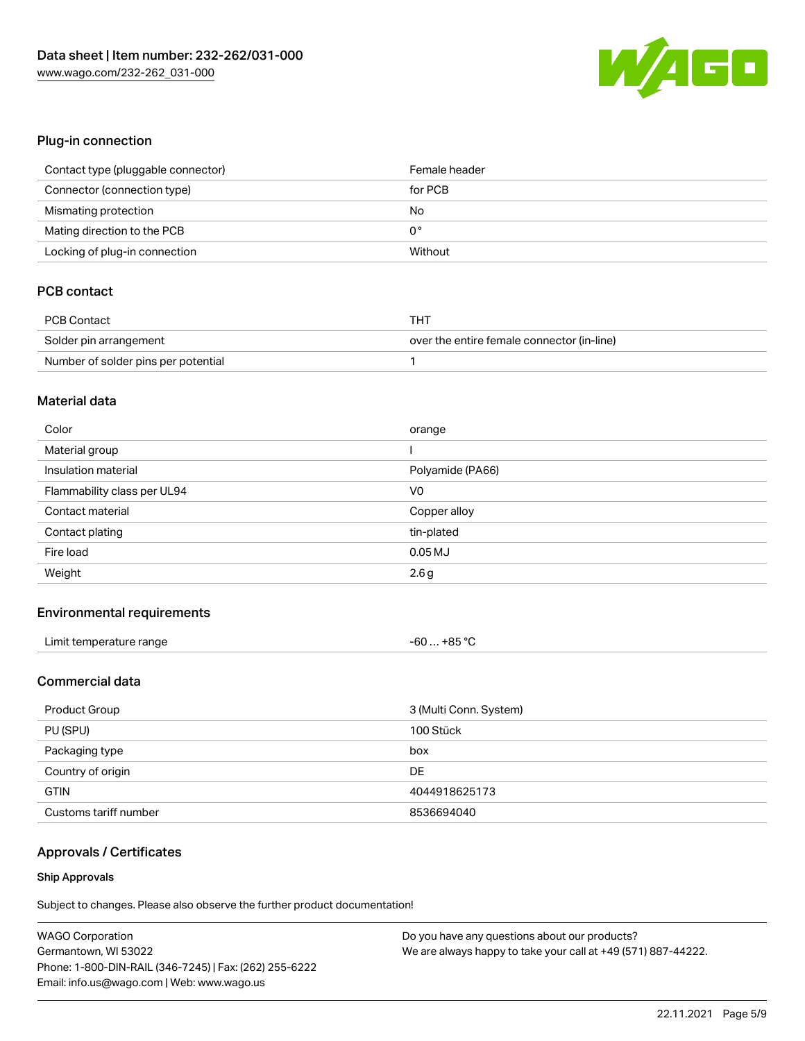

### Plug-in connection

| Contact type (pluggable connector) | Female header |
|------------------------------------|---------------|
| Connector (connection type)        | for PCB       |
| Mismating protection               | No            |
| Mating direction to the PCB        | 0°            |
| Locking of plug-in connection      | Without       |

### PCB contact

| <b>PCB Contact</b>                  | THT                                        |
|-------------------------------------|--------------------------------------------|
| Solder pin arrangement              | over the entire female connector (in-line) |
| Number of solder pins per potential |                                            |

#### Material data

| Color                       | orange           |
|-----------------------------|------------------|
| Material group              |                  |
| Insulation material         | Polyamide (PA66) |
| Flammability class per UL94 | V <sub>0</sub>   |
| Contact material            | Copper alloy     |
| Contact plating             | tin-plated       |
| Fire load                   | $0.05$ MJ        |
| Weight                      | 2.6g             |

### Environmental requirements

| Limit temperature range | $-60+85 °C$ |
|-------------------------|-------------|
|-------------------------|-------------|

### Commercial data

| Product Group         | 3 (Multi Conn. System) |
|-----------------------|------------------------|
| PU (SPU)              | 100 Stück              |
| Packaging type        | box                    |
| Country of origin     | DE                     |
| <b>GTIN</b>           | 4044918625173          |
| Customs tariff number | 8536694040             |

# Approvals / Certificates

#### Ship Approvals

Subject to changes. Please also observe the further product documentation!

| <b>WAGO Corporation</b>                                | Do you have any questions about our products?                 |
|--------------------------------------------------------|---------------------------------------------------------------|
| Germantown, WI 53022                                   | We are always happy to take your call at +49 (571) 887-44222. |
| Phone: 1-800-DIN-RAIL (346-7245)   Fax: (262) 255-6222 |                                                               |
| Email: info.us@wago.com   Web: www.wago.us             |                                                               |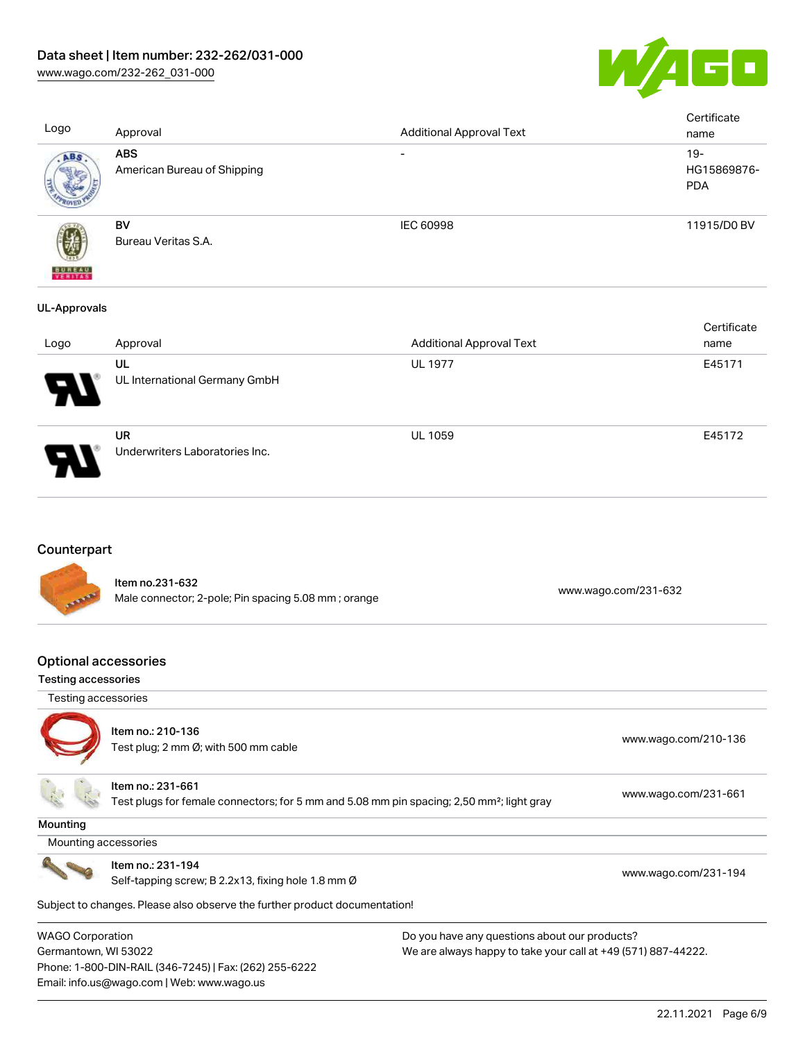

[www.wago.com/232-262\\_031-000](http://www.wago.com/232-262_031-000)

| Logo                     | Approval                                    | <b>Additional Approval Text</b> | Certificate<br>name                 |
|--------------------------|---------------------------------------------|---------------------------------|-------------------------------------|
| ABS                      | <b>ABS</b><br>American Bureau of Shipping   | $\overline{\phantom{a}}$        | $19 -$<br>HG15869876-<br><b>PDA</b> |
| <b>BUREAU</b><br>Veritas | BV<br>Bureau Veritas S.A.                   | <b>IEC 60998</b>                | 11915/D0 BV                         |
| <b>UL-Approvals</b>      |                                             |                                 |                                     |
| Logo                     | Approval                                    | <b>Additional Approval Text</b> | Certificate<br>name                 |
|                          | UL<br>UL International Germany GmbH         | <b>UL 1977</b>                  | E45171                              |
|                          | <b>UR</b><br>Underwriters Laboratories Inc. | <b>UL 1059</b>                  | E45172                              |
| Counterpart              |                                             |                                 |                                     |



Item no.231-632 nem 10.251-002<br>Male connector; 2-pole; Pin spacing 5.08 mm ; orange [www.wago.com/231-632](https://www.wago.com/231-632)

### Optional accessories

#### Testing accessories

Testing accessories



Item no.: 210-136 Test plug; 2 no-130<br>Test plug; 2 mm Ø; with 500 mm cable [www.wago.com/210-136](http://www.wago.com/210-136)

**Mounting** 

Item no.: 231-661

Test plugs for female connectors; for 5 mm and 5.08 mm pin spacing; 2,50 mm²; light gray [www.wago.com/231-661](http://www.wago.com/231-661)

Mounting accessories

Item no.: 231-194

Self-tapping screw; B 2.2x13, fixing hole 1.8 mm Ø [www.wago.com/231-194](http://www.wago.com/231-194)

Subject to changes. Please also observe the further product documentation!

WAGO Corporation Germantown, WI 53022 Phone: 1-800-DIN-RAIL (346-7245) | Fax: (262) 255-6222 Email: info.us@wago.com | Web: www.wago.us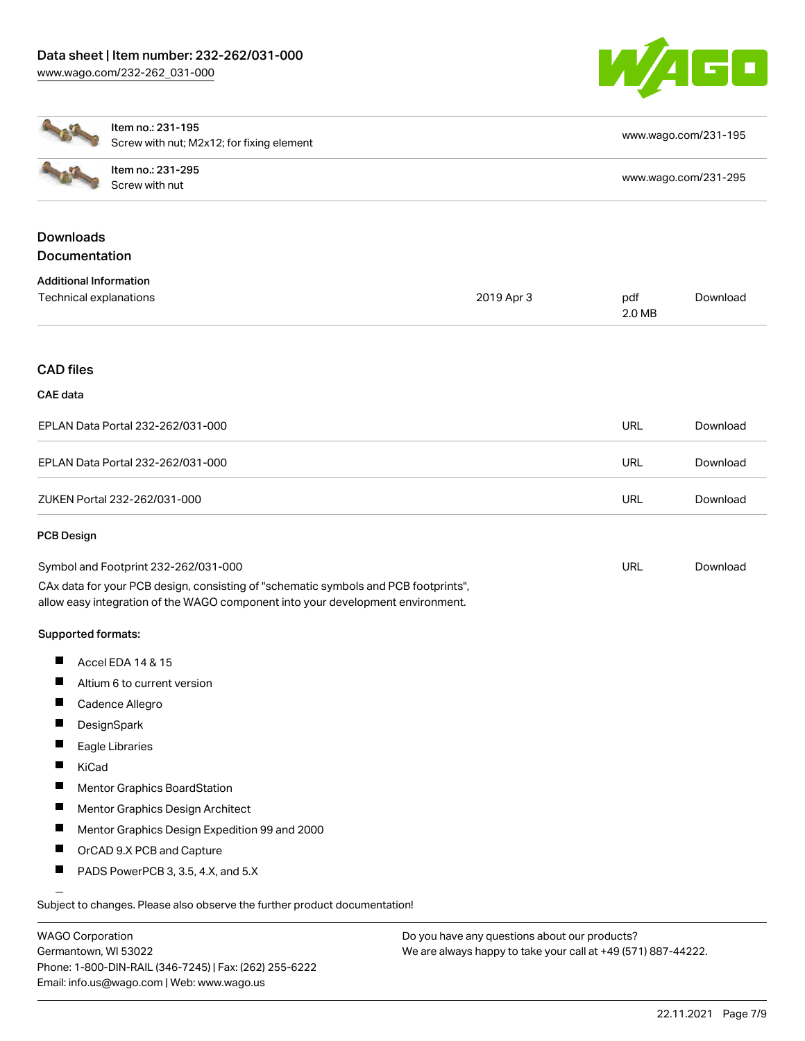

|                                   | Item no.: 231-195<br>Screw with nut; M2x12; for fixing element                                                                                                         |            |               | www.wago.com/231-195 |  |  |
|-----------------------------------|------------------------------------------------------------------------------------------------------------------------------------------------------------------------|------------|---------------|----------------------|--|--|
|                                   | Item no.: 231-295<br>Screw with nut                                                                                                                                    |            |               | www.wago.com/231-295 |  |  |
| <b>Downloads</b><br>Documentation |                                                                                                                                                                        |            |               |                      |  |  |
| <b>Additional Information</b>     |                                                                                                                                                                        |            |               |                      |  |  |
| Technical explanations            |                                                                                                                                                                        | 2019 Apr 3 | pdf<br>2.0 MB | Download             |  |  |
| <b>CAD files</b>                  |                                                                                                                                                                        |            |               |                      |  |  |
| <b>CAE</b> data                   |                                                                                                                                                                        |            |               |                      |  |  |
|                                   | EPLAN Data Portal 232-262/031-000                                                                                                                                      |            | URL           | Download             |  |  |
|                                   | EPLAN Data Portal 232-262/031-000                                                                                                                                      |            | <b>URL</b>    | Download             |  |  |
|                                   | ZUKEN Portal 232-262/031-000                                                                                                                                           |            | <b>URL</b>    | Download             |  |  |
| <b>PCB Design</b>                 |                                                                                                                                                                        |            |               |                      |  |  |
|                                   | Symbol and Footprint 232-262/031-000                                                                                                                                   |            | <b>URL</b>    | Download             |  |  |
|                                   | CAx data for your PCB design, consisting of "schematic symbols and PCB footprints",<br>allow easy integration of the WAGO component into your development environment. |            |               |                      |  |  |
| Supported formats:                |                                                                                                                                                                        |            |               |                      |  |  |
| П                                 | Accel EDA 14 & 15                                                                                                                                                      |            |               |                      |  |  |
|                                   | Altium 6 to current version                                                                                                                                            |            |               |                      |  |  |
| щ                                 | Cadence Allegro                                                                                                                                                        |            |               |                      |  |  |
| Ш                                 | DesignSpark                                                                                                                                                            |            |               |                      |  |  |
| ш                                 | Eagle Libraries                                                                                                                                                        |            |               |                      |  |  |
| KiCad                             |                                                                                                                                                                        |            |               |                      |  |  |
| П                                 | <b>Mentor Graphics BoardStation</b>                                                                                                                                    |            |               |                      |  |  |
| ш                                 | Mentor Graphics Design Architect                                                                                                                                       |            |               |                      |  |  |
|                                   | Mentor Graphics Design Expedition 99 and 2000                                                                                                                          |            |               |                      |  |  |
| ш                                 | OrCAD 9.X PCB and Capture                                                                                                                                              |            |               |                      |  |  |
| ш                                 | PADS PowerPCB 3, 3.5, 4.X, and 5.X                                                                                                                                     |            |               |                      |  |  |
|                                   | Subject to changes. Please also observe the further product documentation!                                                                                             |            |               |                      |  |  |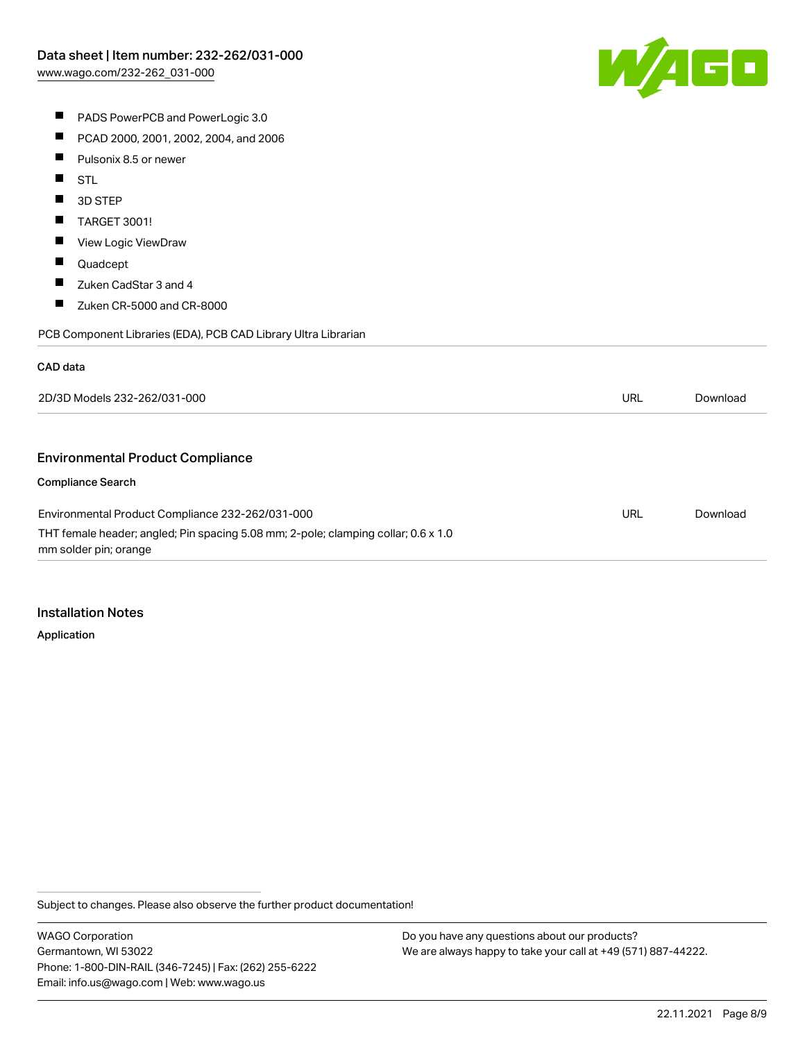

- **PADS PowerPCB and PowerLogic 3.0**
- $\blacksquare$ PCAD 2000, 2001, 2002, 2004, and 2006
- $\blacksquare$ Pulsonix 8.5 or newer
- $\blacksquare$ STL
- П 3D STEP
- $\blacksquare$ TARGET 3001!
- $\blacksquare$ View Logic ViewDraw
- $\blacksquare$ Quadcept
- $\blacksquare$ Zuken CadStar 3 and 4
- $\blacksquare$ Zuken CR-5000 and CR-8000

PCB Component Libraries (EDA), PCB CAD Library Ultra Librarian

#### CAD data

| 2D/3D Models 232-262/031-000                                                                                | <b>URL</b> | Download |
|-------------------------------------------------------------------------------------------------------------|------------|----------|
|                                                                                                             |            |          |
| <b>Environmental Product Compliance</b>                                                                     |            |          |
| <b>Compliance Search</b>                                                                                    |            |          |
| Environmental Product Compliance 232-262/031-000                                                            | URL        | Download |
| THT female header; angled; Pin spacing 5.08 mm; 2-pole; clamping collar; 0.6 x 1.0<br>mm solder pin; orange |            |          |

#### Installation Notes

Application

Subject to changes. Please also observe the further product documentation!

WAGO Corporation Germantown, WI 53022 Phone: 1-800-DIN-RAIL (346-7245) | Fax: (262) 255-6222 Email: info.us@wago.com | Web: www.wago.us